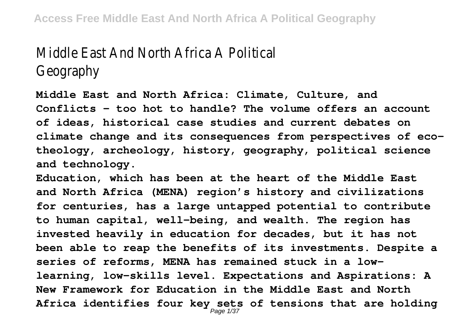# Middle East And North Africa A Political Geography

**Middle East and North Africa: Climate, Culture, and Conflicts – too hot to handle? The volume offers an account of ideas, historical case studies and current debates on climate change and its consequences from perspectives of ecotheology, archeology, history, geography, political science and technology.**

**Education, which has been at the heart of the Middle East and North Africa (MENA) region's history and civilizations for centuries, has a large untapped potential to contribute to human capital, well-being, and wealth. The region has invested heavily in education for decades, but it has not been able to reap the benefits of its investments. Despite a series of reforms, MENA has remained stuck in a lowlearning, low-skills level. Expectations and Aspirations: A New Framework for Education in the Middle East and North** Africa identifies four key sets of tensions that are holding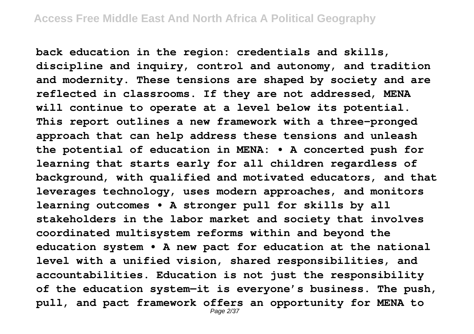**back education in the region: credentials and skills, discipline and inquiry, control and autonomy, and tradition and modernity. These tensions are shaped by society and are reflected in classrooms. If they are not addressed, MENA will continue to operate at a level below its potential. This report outlines a new framework with a three-pronged approach that can help address these tensions and unleash the potential of education in MENA: • A concerted push for learning that starts early for all children regardless of background, with qualified and motivated educators, and that leverages technology, uses modern approaches, and monitors learning outcomes • A stronger pull for skills by all stakeholders in the labor market and society that involves coordinated multisystem reforms within and beyond the education system • A new pact for education at the national level with a unified vision, shared responsibilities, and accountabilities. Education is not just the responsibility of the education system—it is everyone's business. The push, pull, and pact framework offers an opportunity for MENA to** Page 2/37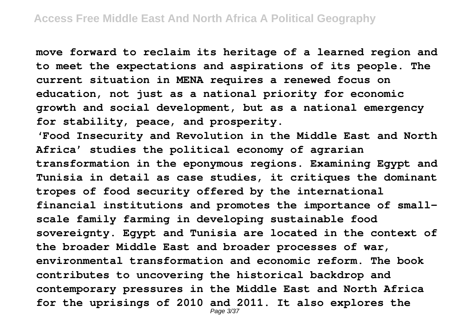**move forward to reclaim its heritage of a learned region and to meet the expectations and aspirations of its people. The current situation in MENA requires a renewed focus on education, not just as a national priority for economic growth and social development, but as a national emergency for stability, peace, and prosperity. 'Food Insecurity and Revolution in the Middle East and North Africa' studies the political economy of agrarian transformation in the eponymous regions. Examining Egypt and Tunisia in detail as case studies, it critiques the dominant tropes of food security offered by the international financial institutions and promotes the importance of smallscale family farming in developing sustainable food sovereignty. Egypt and Tunisia are located in the context of the broader Middle East and broader processes of war, environmental transformation and economic reform. The book contributes to uncovering the historical backdrop and contemporary pressures in the Middle East and North Africa for the uprisings of 2010 and 2011. It also explores the** Page 3/37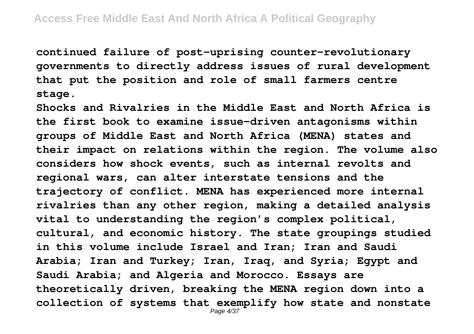**continued failure of post-uprising counter-revolutionary governments to directly address issues of rural development that put the position and role of small farmers centre stage.**

**Shocks and Rivalries in the Middle East and North Africa is the first book to examine issue-driven antagonisms within groups of Middle East and North Africa (MENA) states and their impact on relations within the region. The volume also considers how shock events, such as internal revolts and regional wars, can alter interstate tensions and the trajectory of conflict. MENA has experienced more internal rivalries than any other region, making a detailed analysis vital to understanding the region's complex political, cultural, and economic history. The state groupings studied in this volume include Israel and Iran; Iran and Saudi Arabia; Iran and Turkey; Iran, Iraq, and Syria; Egypt and Saudi Arabia; and Algeria and Morocco. Essays are theoretically driven, breaking the MENA region down into a collection of systems that exemplify how state and nonstate** Page 4/37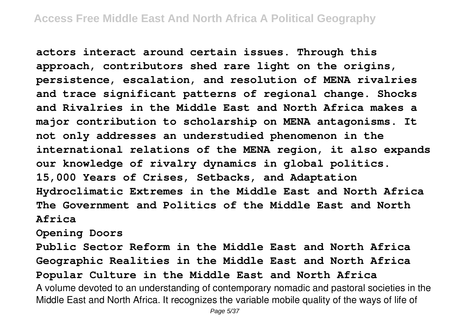**actors interact around certain issues. Through this approach, contributors shed rare light on the origins, persistence, escalation, and resolution of MENA rivalries and trace significant patterns of regional change. Shocks and Rivalries in the Middle East and North Africa makes a major contribution to scholarship on MENA antagonisms. It not only addresses an understudied phenomenon in the international relations of the MENA region, it also expands our knowledge of rivalry dynamics in global politics. 15,000 Years of Crises, Setbacks, and Adaptation Hydroclimatic Extremes in the Middle East and North Africa The Government and Politics of the Middle East and North Africa**

**Opening Doors**

**Public Sector Reform in the Middle East and North Africa Geographic Realities in the Middle East and North Africa Popular Culture in the Middle East and North Africa** A volume devoted to an understanding of contemporary nomadic and pastoral societies in the Middle East and North Africa. It recognizes the variable mobile quality of the ways of life of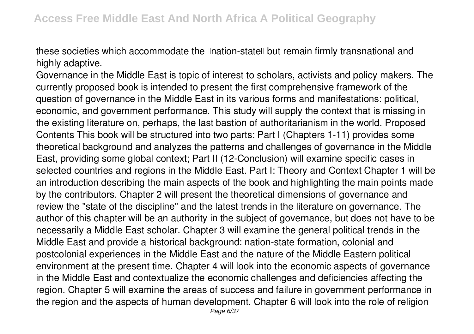these societies which accommodate the **Ination-state** but remain firmly transnational and highly adaptive.

Governance in the Middle East is topic of interest to scholars, activists and policy makers. The currently proposed book is intended to present the first comprehensive framework of the question of governance in the Middle East in its various forms and manifestations: political, economic, and government performance. This study will supply the context that is missing in the existing literature on, perhaps, the last bastion of authoritarianism in the world. Proposed Contents This book will be structured into two parts: Part I (Chapters 1-11) provides some theoretical background and analyzes the patterns and challenges of governance in the Middle East, providing some global context; Part II (12-Conclusion) will examine specific cases in selected countries and regions in the Middle East. Part I: Theory and Context Chapter 1 will be an introduction describing the main aspects of the book and highlighting the main points made by the contributors. Chapter 2 will present the theoretical dimensions of governance and review the "state of the discipline" and the latest trends in the literature on governance. The author of this chapter will be an authority in the subject of governance, but does not have to be necessarily a Middle East scholar. Chapter 3 will examine the general political trends in the Middle East and provide a historical background: nation-state formation, colonial and postcolonial experiences in the Middle East and the nature of the Middle Eastern political environment at the present time. Chapter 4 will look into the economic aspects of governance in the Middle East and contextualize the economic challenges and deficiencies affecting the region. Chapter 5 will examine the areas of success and failure in government performance in the region and the aspects of human development. Chapter 6 will look into the role of religion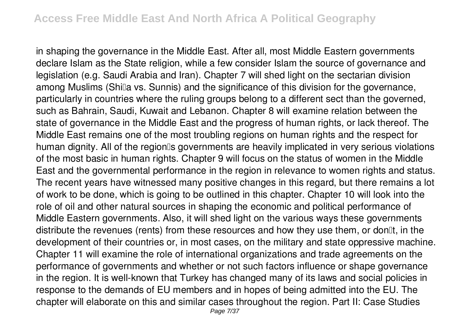in shaping the governance in the Middle East. After all, most Middle Eastern governments declare Islam as the State religion, while a few consider Islam the source of governance and legislation (e.g. Saudi Arabia and Iran). Chapter 7 will shed light on the sectarian division among Muslims (Shilla vs. Sunnis) and the significance of this division for the governance, particularly in countries where the ruling groups belong to a different sect than the governed, such as Bahrain, Saudi, Kuwait and Lebanon. Chapter 8 will examine relation between the state of governance in the Middle East and the progress of human rights, or lack thereof. The Middle East remains one of the most troubling regions on human rights and the respect for human dignity. All of the region<sup>®</sup>s governments are heavily implicated in very serious violations of the most basic in human rights. Chapter 9 will focus on the status of women in the Middle East and the governmental performance in the region in relevance to women rights and status. The recent years have witnessed many positive changes in this regard, but there remains a lot of work to be done, which is going to be outlined in this chapter. Chapter 10 will look into the role of oil and other natural sources in shaping the economic and political performance of Middle Eastern governments. Also, it will shed light on the various ways these governments distribute the revenues (rents) from these resources and how they use them, or don<sup>[1]</sup>, in the development of their countries or, in most cases, on the military and state oppressive machine. Chapter 11 will examine the role of international organizations and trade agreements on the performance of governments and whether or not such factors influence or shape governance in the region. It is well-known that Turkey has changed many of its laws and social policies in response to the demands of EU members and in hopes of being admitted into the EU. The chapter will elaborate on this and similar cases throughout the region. Part II: Case Studies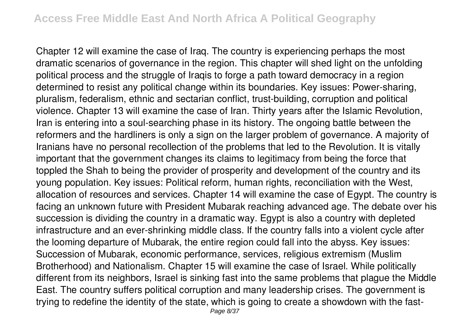Chapter 12 will examine the case of Iraq. The country is experiencing perhaps the most dramatic scenarios of governance in the region. This chapter will shed light on the unfolding political process and the struggle of Iraqis to forge a path toward democracy in a region determined to resist any political change within its boundaries. Key issues: Power-sharing, pluralism, federalism, ethnic and sectarian conflict, trust-building, corruption and political violence. Chapter 13 will examine the case of Iran. Thirty years after the Islamic Revolution, Iran is entering into a soul-searching phase in its history. The ongoing battle between the reformers and the hardliners is only a sign on the larger problem of governance. A majority of Iranians have no personal recollection of the problems that led to the Revolution. It is vitally important that the government changes its claims to legitimacy from being the force that toppled the Shah to being the provider of prosperity and development of the country and its young population. Key issues: Political reform, human rights, reconciliation with the West, allocation of resources and services. Chapter 14 will examine the case of Egypt. The country is facing an unknown future with President Mubarak reaching advanced age. The debate over his succession is dividing the country in a dramatic way. Egypt is also a country with depleted infrastructure and an ever-shrinking middle class. If the country falls into a violent cycle after the looming departure of Mubarak, the entire region could fall into the abyss. Key issues: Succession of Mubarak, economic performance, services, religious extremism (Muslim Brotherhood) and Nationalism. Chapter 15 will examine the case of Israel. While politically different from its neighbors, Israel is sinking fast into the same problems that plague the Middle East. The country suffers political corruption and many leadership crises. The government is trying to redefine the identity of the state, which is going to create a showdown with the fast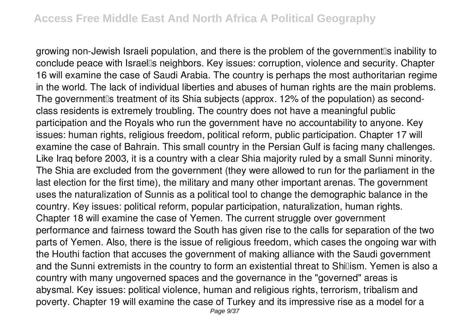growing non-Jewish Israeli population, and there is the problem of the government<sup>®</sup>s inability to conclude peace with Israel's neighbors. Key issues: corruption, violence and security. Chapter 16 will examine the case of Saudi Arabia. The country is perhaps the most authoritarian regime in the world. The lack of individual liberties and abuses of human rights are the main problems. The government<sup>[]</sup>s treatment of its Shia subjects (approx. 12% of the population) as secondclass residents is extremely troubling. The country does not have a meaningful public participation and the Royals who run the government have no accountability to anyone. Key issues: human rights, religious freedom, political reform, public participation. Chapter 17 will examine the case of Bahrain. This small country in the Persian Gulf is facing many challenges. Like Iraq before 2003, it is a country with a clear Shia majority ruled by a small Sunni minority. The Shia are excluded from the government (they were allowed to run for the parliament in the last election for the first time), the military and many other important arenas. The government uses the naturalization of Sunnis as a political tool to change the demographic balance in the country. Key issues: political reform, popular participation, naturalization, human rights. Chapter 18 will examine the case of Yemen. The current struggle over government performance and fairness toward the South has given rise to the calls for separation of the two parts of Yemen. Also, there is the issue of religious freedom, which cases the ongoing war with the Houthi faction that accuses the government of making alliance with the Saudi government and the Sunni extremists in the country to form an existential threat to Shillism. Yemen is also a country with many ungoverned spaces and the governance in the "governed" areas is abysmal. Key issues: political violence, human and religious rights, terrorism, tribalism and poverty. Chapter 19 will examine the case of Turkey and its impressive rise as a model for a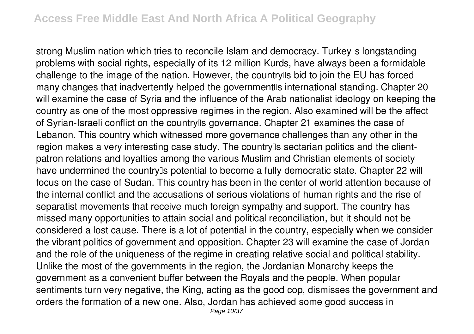strong Muslim nation which tries to reconcile Islam and democracy. Turkey Is longstanding problems with social rights, especially of its 12 million Kurds, have always been a formidable challenge to the image of the nation. However, the country's bid to join the EU has forced many changes that inadvertently helped the government<sup>[</sup>s international standing. Chapter 20 will examine the case of Syria and the influence of the Arab nationalist ideology on keeping the country as one of the most oppressive regimes in the region. Also examined will be the affect of Syrian-Israeli conflict on the country's governance. Chapter 21 examines the case of Lebanon. This country which witnessed more governance challenges than any other in the region makes a very interesting case study. The country<sup>[]</sup> sectarian politics and the clientpatron relations and loyalties among the various Muslim and Christian elements of society have undermined the country<sup>[</sup>s potential to become a fully democratic state. Chapter 22 will focus on the case of Sudan. This country has been in the center of world attention because of the internal conflict and the accusations of serious violations of human rights and the rise of separatist movements that receive much foreign sympathy and support. The country has missed many opportunities to attain social and political reconciliation, but it should not be considered a lost cause. There is a lot of potential in the country, especially when we consider the vibrant politics of government and opposition. Chapter 23 will examine the case of Jordan and the role of the uniqueness of the regime in creating relative social and political stability. Unlike the most of the governments in the region, the Jordanian Monarchy keeps the government as a convenient buffer between the Royals and the people. When popular sentiments turn very negative, the King, acting as the good cop, dismisses the government and orders the formation of a new one. Also, Jordan has achieved some good success in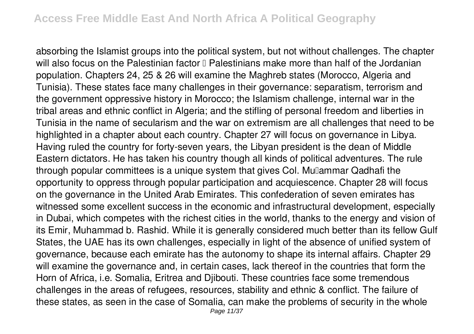absorbing the Islamist groups into the political system, but not without challenges. The chapter will also focus on the Palestinian factor  $\mathbb I$  Palestinians make more than half of the Jordanian population. Chapters 24, 25 & 26 will examine the Maghreb states (Morocco, Algeria and Tunisia). These states face many challenges in their governance: separatism, terrorism and the government oppressive history in Morocco; the Islamism challenge, internal war in the tribal areas and ethnic conflict in Algeria; and the stifling of personal freedom and liberties in Tunisia in the name of secularism and the war on extremism are all challenges that need to be highlighted in a chapter about each country. Chapter 27 will focus on governance in Libya. Having ruled the country for forty-seven years, the Libyan president is the dean of Middle Eastern dictators. He has taken his country though all kinds of political adventures. The rule through popular committees is a unique system that gives Col. Mu'ammar Qadhafi the opportunity to oppress through popular participation and acquiescence. Chapter 28 will focus on the governance in the United Arab Emirates. This confederation of seven emirates has witnessed some excellent success in the economic and infrastructural development, especially in Dubai, which competes with the richest cities in the world, thanks to the energy and vision of its Emir, Muhammad b. Rashid. While it is generally considered much better than its fellow Gulf States, the UAE has its own challenges, especially in light of the absence of unified system of governance, because each emirate has the autonomy to shape its internal affairs. Chapter 29 will examine the governance and, in certain cases, lack thereof in the countries that form the Horn of Africa, i.e. Somalia, Eritrea and Djibouti. These countries face some tremendous challenges in the areas of refugees, resources, stability and ethnic & conflict. The failure of these states, as seen in the case of Somalia, can make the problems of security in the whole Page 11/37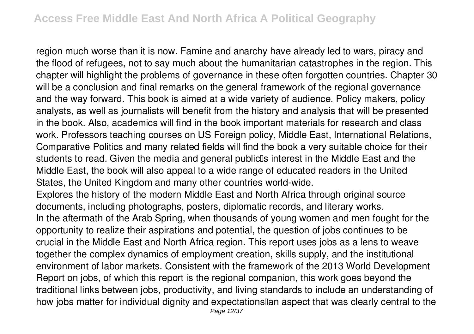region much worse than it is now. Famine and anarchy have already led to wars, piracy and the flood of refugees, not to say much about the humanitarian catastrophes in the region. This chapter will highlight the problems of governance in these often forgotten countries. Chapter 30 will be a conclusion and final remarks on the general framework of the regional governance and the way forward. This book is aimed at a wide variety of audience. Policy makers, policy analysts, as well as journalists will benefit from the history and analysis that will be presented in the book. Also, academics will find in the book important materials for research and class work. Professors teaching courses on US Foreign policy, Middle East, International Relations, Comparative Politics and many related fields will find the book a very suitable choice for their students to read. Given the media and general public<sup>[]</sup> sinterest in the Middle East and the Middle East, the book will also appeal to a wide range of educated readers in the United States, the United Kingdom and many other countries world-wide.

Explores the history of the modern Middle East and North Africa through original source documents, including photographs, posters, diplomatic records, and literary works. In the aftermath of the Arab Spring, when thousands of young women and men fought for the opportunity to realize their aspirations and potential, the question of jobs continues to be crucial in the Middle East and North Africa region. This report uses jobs as a lens to weave together the complex dynamics of employment creation, skills supply, and the institutional environment of labor markets. Consistent with the framework of the 2013 World Development Report on jobs, of which this report is the regional companion, this work goes beyond the traditional links between jobs, productivity, and living standards to include an understanding of how jobs matter for individual dignity and expectations an aspect that was clearly central to the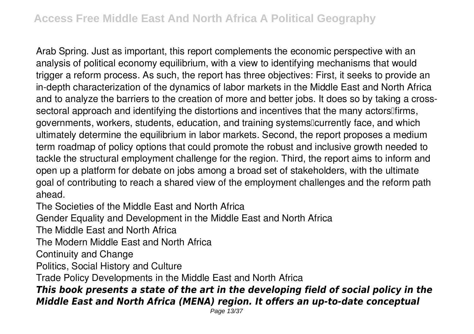Arab Spring. Just as important, this report complements the economic perspective with an analysis of political economy equilibrium, with a view to identifying mechanisms that would trigger a reform process. As such, the report has three objectives: First, it seeks to provide an in-depth characterization of the dynamics of labor markets in the Middle East and North Africa and to analyze the barriers to the creation of more and better jobs. It does so by taking a crosssectoral approach and identifying the distortions and incentives that the many actors [firms, governments, workers, students, education, and training systems<sup>[]</sup>currently face, and which ultimately determine the equilibrium in labor markets. Second, the report proposes a medium term roadmap of policy options that could promote the robust and inclusive growth needed to tackle the structural employment challenge for the region. Third, the report aims to inform and open up a platform for debate on jobs among a broad set of stakeholders, with the ultimate goal of contributing to reach a shared view of the employment challenges and the reform path ahead.

The Societies of the Middle East and North Africa

Gender Equality and Development in the Middle East and North Africa

The Middle East and North Africa

The Modern Middle East and North Africa

Continuity and Change

Politics, Social History and Culture

Trade Policy Developments in the Middle East and North Africa

*This book presents a state of the art in the developing field of social policy in the Middle East and North Africa (MENA) region. It offers an up-to-date conceptual*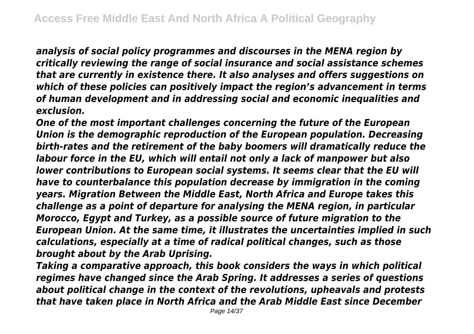*analysis of social policy programmes and discourses in the MENA region by critically reviewing the range of social insurance and social assistance schemes that are currently in existence there. It also analyses and offers suggestions on which of these policies can positively impact the region's advancement in terms of human development and in addressing social and economic inequalities and exclusion.*

*One of the most important challenges concerning the future of the European Union is the demographic reproduction of the European population. Decreasing birth-rates and the retirement of the baby boomers will dramatically reduce the labour force in the EU, which will entail not only a lack of manpower but also lower contributions to European social systems. It seems clear that the EU will have to counterbalance this population decrease by immigration in the coming years. Migration Between the Middle East, North Africa and Europe takes this challenge as a point of departure for analysing the MENA region, in particular Morocco, Egypt and Turkey, as a possible source of future migration to the European Union. At the same time, it illustrates the uncertainties implied in such calculations, especially at a time of radical political changes, such as those brought about by the Arab Uprising.*

*Taking a comparative approach, this book considers the ways in which political regimes have changed since the Arab Spring. It addresses a series of questions about political change in the context of the revolutions, upheavals and protests that have taken place in North Africa and the Arab Middle East since December*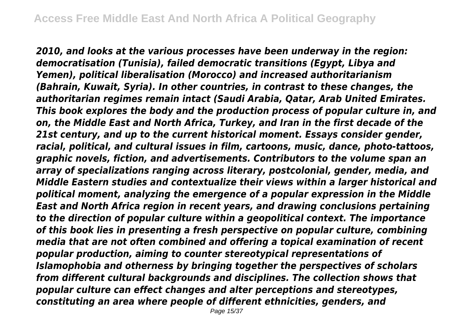*2010, and looks at the various processes have been underway in the region: democratisation (Tunisia), failed democratic transitions (Egypt, Libya and Yemen), political liberalisation (Morocco) and increased authoritarianism (Bahrain, Kuwait, Syria). In other countries, in contrast to these changes, the authoritarian regimes remain intact (Saudi Arabia, Qatar, Arab United Emirates. This book explores the body and the production process of popular culture in, and on, the Middle East and North Africa, Turkey, and Iran in the first decade of the 21st century, and up to the current historical moment. Essays consider gender, racial, political, and cultural issues in film, cartoons, music, dance, photo-tattoos, graphic novels, fiction, and advertisements. Contributors to the volume span an array of specializations ranging across literary, postcolonial, gender, media, and Middle Eastern studies and contextualize their views within a larger historical and political moment, analyzing the emergence of a popular expression in the Middle East and North Africa region in recent years, and drawing conclusions pertaining to the direction of popular culture within a geopolitical context. The importance of this book lies in presenting a fresh perspective on popular culture, combining media that are not often combined and offering a topical examination of recent popular production, aiming to counter stereotypical representations of Islamophobia and otherness by bringing together the perspectives of scholars from different cultural backgrounds and disciplines. The collection shows that popular culture can effect changes and alter perceptions and stereotypes, constituting an area where people of different ethnicities, genders, and*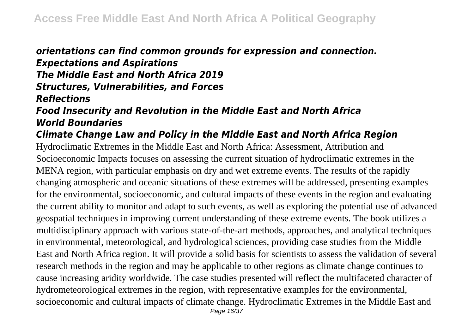#### *orientations can find common grounds for expression and connection. Expectations and Aspirations The Middle East and North Africa 2019 Structures, Vulnerabilities, and Forces Reflections Food Insecurity and Revolution in the Middle East and North Africa World Boundaries*

#### *Climate Change Law and Policy in the Middle East and North Africa Region*

Hydroclimatic Extremes in the Middle East and North Africa: Assessment, Attribution and Socioeconomic Impacts focuses on assessing the current situation of hydroclimatic extremes in the MENA region, with particular emphasis on dry and wet extreme events. The results of the rapidly changing atmospheric and oceanic situations of these extremes will be addressed, presenting examples for the environmental, socioeconomic, and cultural impacts of these events in the region and evaluating the current ability to monitor and adapt to such events, as well as exploring the potential use of advanced geospatial techniques in improving current understanding of these extreme events. The book utilizes a multidisciplinary approach with various state-of-the-art methods, approaches, and analytical techniques in environmental, meteorological, and hydrological sciences, providing case studies from the Middle East and North Africa region. It will provide a solid basis for scientists to assess the validation of several research methods in the region and may be applicable to other regions as climate change continues to cause increasing aridity worldwide. The case studies presented will reflect the multifaceted character of hydrometeorological extremes in the region, with representative examples for the environmental, socioeconomic and cultural impacts of climate change. Hydroclimatic Extremes in the Middle East and Page 16/37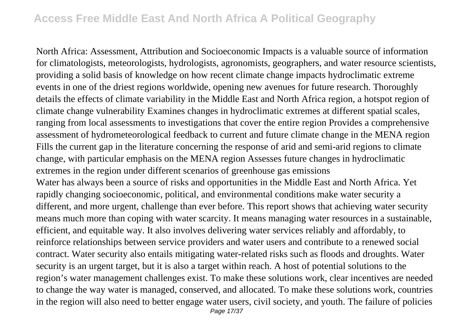### **Access Free Middle East And North Africa A Political Geography**

North Africa: Assessment, Attribution and Socioeconomic Impacts is a valuable source of information for climatologists, meteorologists, hydrologists, agronomists, geographers, and water resource scientists, providing a solid basis of knowledge on how recent climate change impacts hydroclimatic extreme events in one of the driest regions worldwide, opening new avenues for future research. Thoroughly details the effects of climate variability in the Middle East and North Africa region, a hotspot region of climate change vulnerability Examines changes in hydroclimatic extremes at different spatial scales, ranging from local assessments to investigations that cover the entire region Provides a comprehensive assessment of hydrometeorological feedback to current and future climate change in the MENA region Fills the current gap in the literature concerning the response of arid and semi-arid regions to climate change, with particular emphasis on the MENA region Assesses future changes in hydroclimatic extremes in the region under different scenarios of greenhouse gas emissions Water has always been a source of risks and opportunities in the Middle East and North Africa. Yet rapidly changing socioeconomic, political, and environmental conditions make water security a different, and more urgent, challenge than ever before. This report shows that achieving water security means much more than coping with water scarcity. It means managing water resources in a sustainable, efficient, and equitable way. It also involves delivering water services reliably and affordably, to reinforce relationships between service providers and water users and contribute to a renewed social contract. Water security also entails mitigating water-related risks such as floods and droughts. Water security is an urgent target, but it is also a target within reach. A host of potential solutions to the region's water management challenges exist. To make these solutions work, clear incentives are needed to change the way water is managed, conserved, and allocated. To make these solutions work, countries in the region will also need to better engage water users, civil society, and youth. The failure of policies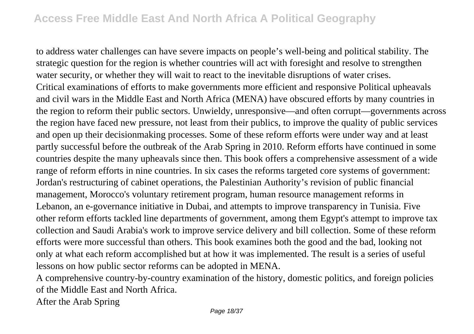to address water challenges can have severe impacts on people's well-being and political stability. The strategic question for the region is whether countries will act with foresight and resolve to strengthen water security, or whether they will wait to react to the inevitable disruptions of water crises. Critical examinations of efforts to make governments more efficient and responsive Political upheavals and civil wars in the Middle East and North Africa (MENA) have obscured efforts by many countries in the region to reform their public sectors. Unwieldy, unresponsive—and often corrupt—governments across the region have faced new pressure, not least from their publics, to improve the quality of public services and open up their decisionmaking processes. Some of these reform efforts were under way and at least partly successful before the outbreak of the Arab Spring in 2010. Reform efforts have continued in some countries despite the many upheavals since then. This book offers a comprehensive assessment of a wide range of reform efforts in nine countries. In six cases the reforms targeted core systems of government: Jordan's restructuring of cabinet operations, the Palestinian Authority's revision of public financial management, Morocco's voluntary retirement program, human resource management reforms in Lebanon, an e-governance initiative in Dubai, and attempts to improve transparency in Tunisia. Five other reform efforts tackled line departments of government, among them Egypt's attempt to improve tax collection and Saudi Arabia's work to improve service delivery and bill collection. Some of these reform efforts were more successful than others. This book examines both the good and the bad, looking not only at what each reform accomplished but at how it was implemented. The result is a series of useful lessons on how public sector reforms can be adopted in MENA.

A comprehensive country-by-country examination of the history, domestic politics, and foreign policies of the Middle East and North Africa.

After the Arab Spring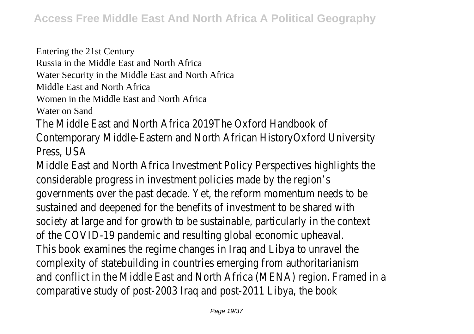Entering the 21st Century Russia in the Middle East and North Africa Water Security in the Middle East and North Africa Middle East and North Africa Women in the Middle East and North Africa Water on Sand The Middle East and North Africa 2019The Oxford Handbook of Contemporary Middle-Eastern and North African HistoryOxford University Press, USA Middle East and North Africa Investment Policy Perspectives highlights the considerable progress in investment policies made by the region's governments over the past decade. Yet, the reform momentum needs to be

sustained and deepened for the benefits of investment to be shared with society at large and for growth to be sustainable, particularly in the context of the COVID-19 pandemic and resulting global economic upheaval. This book examines the regime changes in Iraq and Libya to unravel the complexity of statebuilding in countries emerging from authoritarianism and conflict in the Middle East and North Africa (MENA) region. Framed in a

comparative study of post-2003 Iraq and post-2011 Libya, the book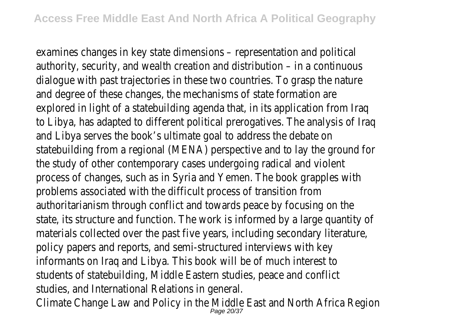examines changes in key state dimensions – representation and political authority, security, and wealth creation and distribution – in a continuous dialogue with past trajectories in these two countries. To grasp the nature and degree of these changes, the mechanisms of state formation are explored in light of a statebuilding agenda that, in its application from Iraq to Libya, has adapted to different political prerogatives. The analysis of Iraq and Libya serves the book's ultimate goal to address the debate on statebuilding from a regional (MENA) perspective and to lay the ground for the study of other contemporary cases undergoing radical and violent process of changes, such as in Syria and Yemen. The book grapples with problems associated with the difficult process of transition from authoritarianism through conflict and towards peace by focusing on the state, its structure and function. The work is informed by a large quantity of materials collected over the past five years, including secondary literature, policy papers and reports, and semi-structured interviews with key informants on Iraq and Libya. This book will be of much interest to students of statebuilding, Middle Eastern studies, peace and conflict studies, and International Relations in general.

Climate Change Law and Policy in the Middle East and North Africa Region<br>Page 20037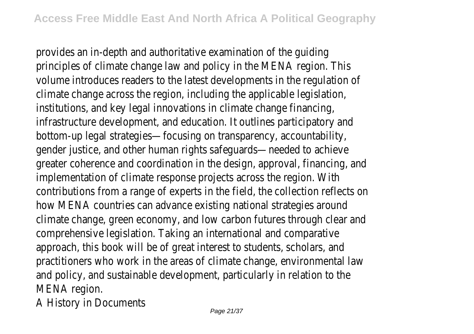provides an in-depth and authoritative examination of the guiding principles of climate change law and policy in the MENA region. This volume introduces readers to the latest developments in the regulation of climate change across the region, including the applicable legislation, institutions, and key legal innovations in climate change financing, infrastructure development, and education. It outlines participatory and bottom-up legal strategies—focusing on transparency, accountability, gender justice, and other human rights safeguards—needed to achieve greater coherence and coordination in the design, approval, financing, and implementation of climate response projects across the region. With contributions from a range of experts in the field, the collection reflects on how MENA countries can advance existing national strategies around climate change, green economy, and low carbon futures through clear and comprehensive legislation. Taking an international and comparative approach, this book will be of great interest to students, scholars, and practitioners who work in the areas of climate change, environmental law and policy, and sustainable development, particularly in relation to the MENA region.

A History in Documents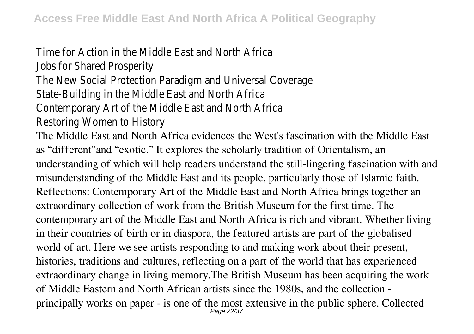Time for Action in the Middle East and North Africa Jobs for Shared Prosperity The New Social Protection Paradigm and Universal Coverage State-Building in the Middle East and North Africa Contemporary Art of the Middle East and North Africa Restoring Women to History The Middle East and North Africa evidences the West's fascination with the Middle East as "different"and "exotic." It explores the scholarly tradition of Orientalism, an understanding of which will help readers understand the still-lingering fascination with and misunderstanding of the Middle East and its people, particularly those of Islamic faith. Reflections: Contemporary Art of the Middle East and North Africa brings together an extraordinary collection of work from the British Museum for the first time. The contemporary art of the Middle East and North Africa is rich and vibrant. Whether living in their countries of birth or in diaspora, the featured artists are part of the globalised world of art. Here we see artists responding to and making work about their present, histories, traditions and cultures, reflecting on a part of the world that has experienced extraordinary change in living memory.The British Museum has been acquiring the work of Middle Eastern and North African artists since the 1980s, and the collection principally works on paper - is one of the most extensive in the public sphere. Collected Page 22/37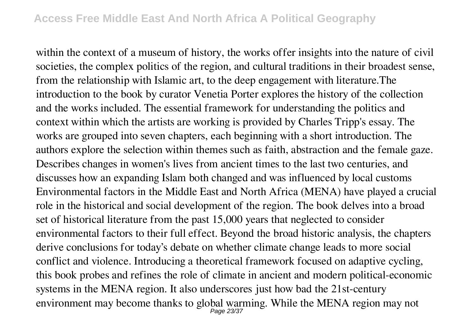within the context of a museum of history, the works offer insights into the nature of civil societies, the complex politics of the region, and cultural traditions in their broadest sense, from the relationship with Islamic art, to the deep engagement with literature.The introduction to the book by curator Venetia Porter explores the history of the collection and the works included. The essential framework for understanding the politics and context within which the artists are working is provided by Charles Tripp's essay. The works are grouped into seven chapters, each beginning with a short introduction. The authors explore the selection within themes such as faith, abstraction and the female gaze. Describes changes in women's lives from ancient times to the last two centuries, and discusses how an expanding Islam both changed and was influenced by local customs Environmental factors in the Middle East and North Africa (MENA) have played a crucial role in the historical and social development of the region. The book delves into a broad set of historical literature from the past 15,000 years that neglected to consider environmental factors to their full effect. Beyond the broad historic analysis, the chapters derive conclusions for today's debate on whether climate change leads to more social conflict and violence. Introducing a theoretical framework focused on adaptive cycling, this book probes and refines the role of climate in ancient and modern political-economic systems in the MENA region. It also underscores just how bad the 21st-century environment may become thanks to global warming. While the MENA region may not Page 23/37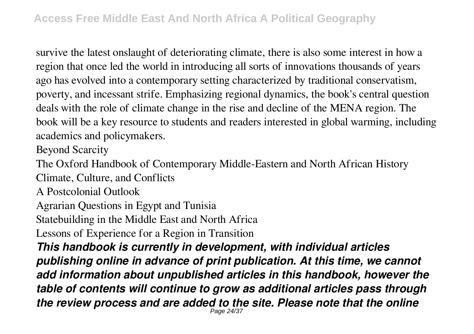survive the latest onslaught of deteriorating climate, there is also some interest in how a region that once led the world in introducing all sorts of innovations thousands of years ago has evolved into a contemporary setting characterized by traditional conservatism, poverty, and incessant strife. Emphasizing regional dynamics, the book's central question deals with the role of climate change in the rise and decline of the MENA region. The book will be a key resource to students and readers interested in global warming, including academics and policymakers.

Beyond Scarcity

The Oxford Handbook of Contemporary Middle-Eastern and North African History Climate, Culture, and Conflicts

A Postcolonial Outlook

Agrarian Questions in Egypt and Tunisia

Statebuilding in the Middle East and North Africa

Lessons of Experience for a Region in Transition

*This handbook is currently in development, with individual articles publishing online in advance of print publication. At this time, we cannot add information about unpublished articles in this handbook, however the table of contents will continue to grow as additional articles pass through the review process and are added to the site. Please note that the online* Page 24/37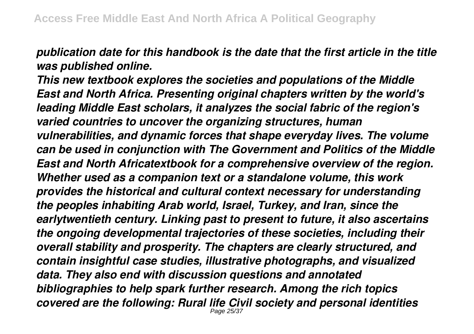*publication date for this handbook is the date that the first article in the title was published online.*

*This new textbook explores the societies and populations of the Middle East and North Africa. Presenting original chapters written by the world's leading Middle East scholars, it analyzes the social fabric of the region's varied countries to uncover the organizing structures, human vulnerabilities, and dynamic forces that shape everyday lives. The volume can be used in conjunction with The Government and Politics of the Middle East and North Africatextbook for a comprehensive overview of the region. Whether used as a companion text or a standalone volume, this work provides the historical and cultural context necessary for understanding the peoples inhabiting Arab world, Israel, Turkey, and Iran, since the earlytwentieth century. Linking past to present to future, it also ascertains the ongoing developmental trajectories of these societies, including their overall stability and prosperity. The chapters are clearly structured, and contain insightful case studies, illustrative photographs, and visualized data. They also end with discussion questions and annotated bibliographies to help spark further research. Among the rich topics covered are the following: Rural life Civil society and personal identities* Page 25/37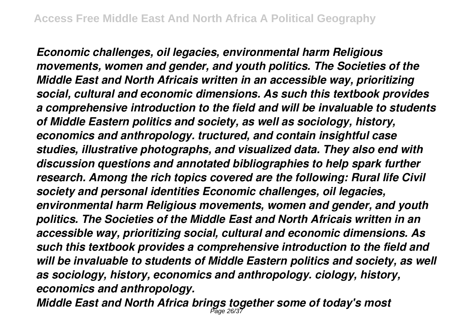*Economic challenges, oil legacies, environmental harm Religious movements, women and gender, and youth politics. The Societies of the Middle East and North Africais written in an accessible way, prioritizing social, cultural and economic dimensions. As such this textbook provides a comprehensive introduction to the field and will be invaluable to students of Middle Eastern politics and society, as well as sociology, history, economics and anthropology. tructured, and contain insightful case studies, illustrative photographs, and visualized data. They also end with discussion questions and annotated bibliographies to help spark further research. Among the rich topics covered are the following: Rural life Civil society and personal identities Economic challenges, oil legacies, environmental harm Religious movements, women and gender, and youth politics. The Societies of the Middle East and North Africais written in an accessible way, prioritizing social, cultural and economic dimensions. As such this textbook provides a comprehensive introduction to the field and will be invaluable to students of Middle Eastern politics and society, as well as sociology, history, economics and anthropology. ciology, history, economics and anthropology.*

*Middle East and North Africa brings together some of today's most* Page 26/37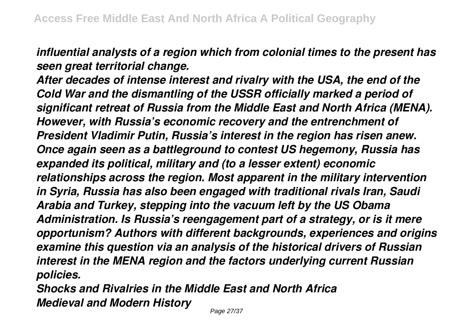*influential analysts of a region which from colonial times to the present has seen great territorial change.*

*After decades of intense interest and rivalry with the USA, the end of the Cold War and the dismantling of the USSR officially marked a period of significant retreat of Russia from the Middle East and North Africa (MENA). However, with Russia's economic recovery and the entrenchment of President Vladimir Putin, Russia's interest in the region has risen anew. Once again seen as a battleground to contest US hegemony, Russia has expanded its political, military and (to a lesser extent) economic relationships across the region. Most apparent in the military intervention in Syria, Russia has also been engaged with traditional rivals Iran, Saudi Arabia and Turkey, stepping into the vacuum left by the US Obama Administration. Is Russia's reengagement part of a strategy, or is it mere opportunism? Authors with different backgrounds, experiences and origins examine this question via an analysis of the historical drivers of Russian interest in the MENA region and the factors underlying current Russian policies.*

*Shocks and Rivalries in the Middle East and North Africa Medieval and Modern History*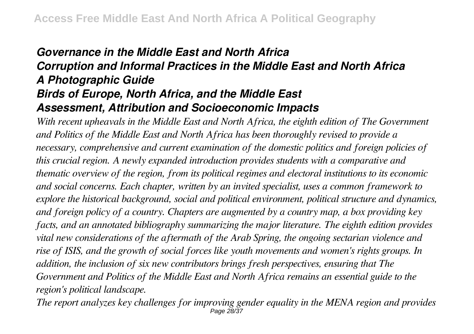# *Governance in the Middle East and North Africa Corruption and Informal Practices in the Middle East and North Africa A Photographic Guide Birds of Europe, North Africa, and the Middle East Assessment, Attribution and Socioeconomic Impacts*

*With recent upheavals in the Middle East and North Africa, the eighth edition of The Government and Politics of the Middle East and North Africa has been thoroughly revised to provide a necessary, comprehensive and current examination of the domestic politics and foreign policies of this crucial region. A newly expanded introduction provides students with a comparative and thematic overview of the region, from its political regimes and electoral institutions to its economic and social concerns. Each chapter, written by an invited specialist, uses a common framework to explore the historical background, social and political environment, political structure and dynamics, and foreign policy of a country. Chapters are augmented by a country map, a box providing key facts, and an annotated bibliography summarizing the major literature. The eighth edition provides vital new considerations of the aftermath of the Arab Spring, the ongoing sectarian violence and rise of ISIS, and the growth of social forces like youth movements and women's rights groups. In addition, the inclusion of six new contributors brings fresh perspectives, ensuring that The Government and Politics of the Middle East and North Africa remains an essential guide to the region's political landscape.*

*The report analyzes key challenges for improving gender equality in the MENA region and provides* Page 28/37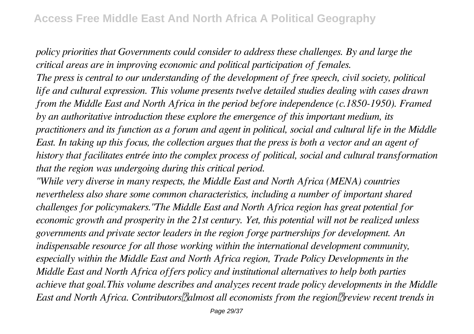*policy priorities that Governments could consider to address these challenges. By and large the critical areas are in improving economic and political participation of females.*

*The press is central to our understanding of the development of free speech, civil society, political life and cultural expression. This volume presents twelve detailed studies dealing with cases drawn from the Middle East and North Africa in the period before independence (c.1850-1950). Framed by an authoritative introduction these explore the emergence of this important medium, its practitioners and its function as a forum and agent in political, social and cultural life in the Middle East. In taking up this focus, the collection argues that the press is both a vector and an agent of history that facilitates entrée into the complex process of political, social and cultural transformation that the region was undergoing during this critical period.*

*"While very diverse in many respects, the Middle East and North Africa (MENA) countries nevertheless also share some common characteristics, including a number of important shared challenges for policymakers."The Middle East and North Africa region has great potential for economic growth and prosperity in the 21st century. Yet, this potential will not be realized unless governments and private sector leaders in the region forge partnerships for development. An indispensable resource for all those working within the international development community, especially within the Middle East and North Africa region, Trade Policy Developments in the Middle East and North Africa offers policy and institutional alternatives to help both parties achieve that goal.This volume describes and analyzes recent trade policy developments in the Middle East and North Africa. ContributorsDalmost all economists from the region Preview recent trends in*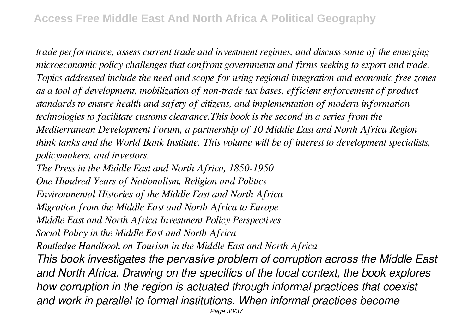*trade performance, assess current trade and investment regimes, and discuss some of the emerging microeconomic policy challenges that confront governments and firms seeking to export and trade. Topics addressed include the need and scope for using regional integration and economic free zones as a tool of development, mobilization of non-trade tax bases, efficient enforcement of product standards to ensure health and safety of citizens, and implementation of modern information technologies to facilitate customs clearance.This book is the second in a series from the Mediterranean Development Forum, a partnership of 10 Middle East and North Africa Region think tanks and the World Bank Institute. This volume will be of interest to development specialists, policymakers, and investors.*

*The Press in the Middle East and North Africa, 1850-1950 One Hundred Years of Nationalism, Religion and Politics Environmental Histories of the Middle East and North Africa Migration from the Middle East and North Africa to Europe Middle East and North Africa Investment Policy Perspectives Social Policy in the Middle East and North Africa Routledge Handbook on Tourism in the Middle East and North Africa This book investigates the pervasive problem of corruption across the Middle East and North Africa. Drawing on the specifics of the local context, the book explores how corruption in the region is actuated through informal practices that coexist and work in parallel to formal institutions. When informal practices become*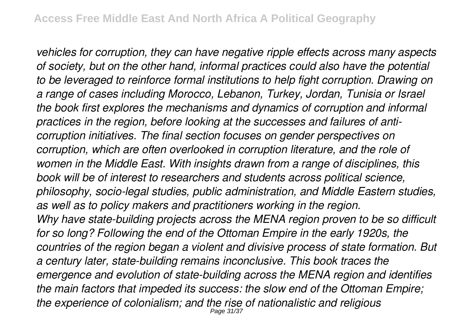*vehicles for corruption, they can have negative ripple effects across many aspects of society, but on the other hand, informal practices could also have the potential to be leveraged to reinforce formal institutions to help fight corruption. Drawing on a range of cases including Morocco, Lebanon, Turkey, Jordan, Tunisia or Israel the book first explores the mechanisms and dynamics of corruption and informal practices in the region, before looking at the successes and failures of anticorruption initiatives. The final section focuses on gender perspectives on corruption, which are often overlooked in corruption literature, and the role of women in the Middle East. With insights drawn from a range of disciplines, this book will be of interest to researchers and students across political science, philosophy, socio-legal studies, public administration, and Middle Eastern studies, as well as to policy makers and practitioners working in the region. Why have state-building projects across the MENA region proven to be so difficult for so long? Following the end of the Ottoman Empire in the early 1920s, the countries of the region began a violent and divisive process of state formation. But a century later, state-building remains inconclusive. This book traces the emergence and evolution of state-building across the MENA region and identifies the main factors that impeded its success: the slow end of the Ottoman Empire; the experience of colonialism; and the rise of nationalistic and religious* Page 31/37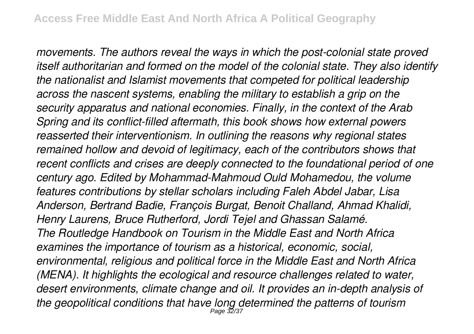*movements. The authors reveal the ways in which the post-colonial state proved itself authoritarian and formed on the model of the colonial state. They also identify the nationalist and Islamist movements that competed for political leadership across the nascent systems, enabling the military to establish a grip on the security apparatus and national economies. Finally, in the context of the Arab Spring and its conflict-filled aftermath, this book shows how external powers reasserted their interventionism. In outlining the reasons why regional states remained hollow and devoid of legitimacy, each of the contributors shows that recent conflicts and crises are deeply connected to the foundational period of one century ago. Edited by Mohammad-Mahmoud Ould Mohamedou, the volume features contributions by stellar scholars including Faleh Abdel Jabar, Lisa Anderson, Bertrand Badie, François Burgat, Benoit Challand, Ahmad Khalidi, Henry Laurens, Bruce Rutherford, Jordi Tejel and Ghassan Salamé. The Routledge Handbook on Tourism in the Middle East and North Africa examines the importance of tourism as a historical, economic, social, environmental, religious and political force in the Middle East and North Africa (MENA). It highlights the ecological and resource challenges related to water, desert environments, climate change and oil. It provides an in-depth analysis of the geopolitical conditions that have long determined the patterns of tourism* Page 32/37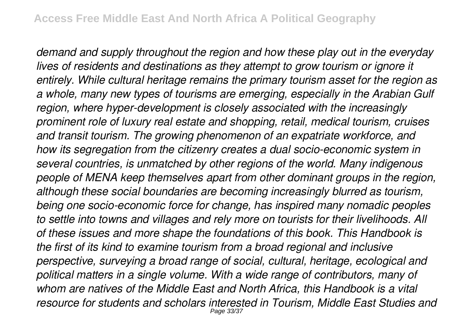*demand and supply throughout the region and how these play out in the everyday lives of residents and destinations as they attempt to grow tourism or ignore it entirely. While cultural heritage remains the primary tourism asset for the region as a whole, many new types of tourisms are emerging, especially in the Arabian Gulf region, where hyper-development is closely associated with the increasingly prominent role of luxury real estate and shopping, retail, medical tourism, cruises and transit tourism. The growing phenomenon of an expatriate workforce, and how its segregation from the citizenry creates a dual socio-economic system in several countries, is unmatched by other regions of the world. Many indigenous people of MENA keep themselves apart from other dominant groups in the region, although these social boundaries are becoming increasingly blurred as tourism, being one socio-economic force for change, has inspired many nomadic peoples to settle into towns and villages and rely more on tourists for their livelihoods. All of these issues and more shape the foundations of this book. This Handbook is the first of its kind to examine tourism from a broad regional and inclusive perspective, surveying a broad range of social, cultural, heritage, ecological and political matters in a single volume. With a wide range of contributors, many of whom are natives of the Middle East and North Africa, this Handbook is a vital resource for students and scholars interested in Tourism, Middle East Studies and* Page 33/37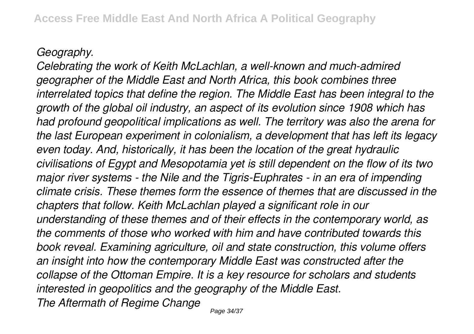## *Geography.*

*Celebrating the work of Keith McLachlan, a well-known and much-admired geographer of the Middle East and North Africa, this book combines three interrelated topics that define the region. The Middle East has been integral to the growth of the global oil industry, an aspect of its evolution since 1908 which has had profound geopolitical implications as well. The territory was also the arena for the last European experiment in colonialism, a development that has left its legacy even today. And, historically, it has been the location of the great hydraulic civilisations of Egypt and Mesopotamia yet is still dependent on the flow of its two major river systems - the Nile and the Tigris-Euphrates - in an era of impending climate crisis. These themes form the essence of themes that are discussed in the chapters that follow. Keith McLachlan played a significant role in our understanding of these themes and of their effects in the contemporary world, as the comments of those who worked with him and have contributed towards this book reveal. Examining agriculture, oil and state construction, this volume offers an insight into how the contemporary Middle East was constructed after the collapse of the Ottoman Empire. It is a key resource for scholars and students interested in geopolitics and the geography of the Middle East. The Aftermath of Regime Change*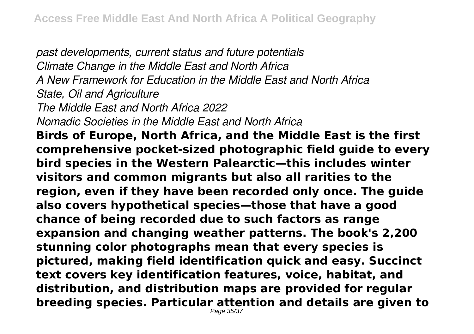*past developments, current status and future potentials Climate Change in the Middle East and North Africa A New Framework for Education in the Middle East and North Africa State, Oil and Agriculture The Middle East and North Africa 2022 Nomadic Societies in the Middle East and North Africa* **Birds of Europe, North Africa, and the Middle East is the first comprehensive pocket-sized photographic field guide to every bird species in the Western Palearctic—this includes winter visitors and common migrants but also all rarities to the region, even if they have been recorded only once. The guide also covers hypothetical species—those that have a good chance of being recorded due to such factors as range expansion and changing weather patterns. The book's 2,200 stunning color photographs mean that every species is pictured, making field identification quick and easy. Succinct text covers key identification features, voice, habitat, and distribution, and distribution maps are provided for regular breeding species. Particular attention and details are given to** Page 35/37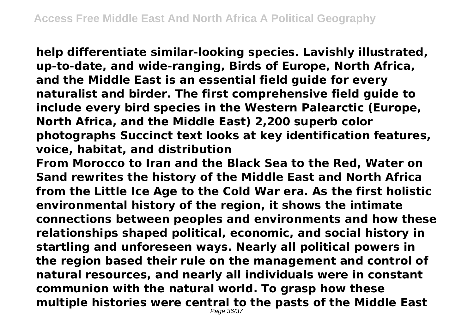**help differentiate similar-looking species. Lavishly illustrated, up-to-date, and wide-ranging, Birds of Europe, North Africa, and the Middle East is an essential field guide for every naturalist and birder. The first comprehensive field guide to include every bird species in the Western Palearctic (Europe, North Africa, and the Middle East) 2,200 superb color photographs Succinct text looks at key identification features, voice, habitat, and distribution**

**From Morocco to Iran and the Black Sea to the Red, Water on Sand rewrites the history of the Middle East and North Africa from the Little Ice Age to the Cold War era. As the first holistic environmental history of the region, it shows the intimate connections between peoples and environments and how these relationships shaped political, economic, and social history in startling and unforeseen ways. Nearly all political powers in the region based their rule on the management and control of natural resources, and nearly all individuals were in constant communion with the natural world. To grasp how these multiple histories were central to the pasts of the Middle East** Page 36/37